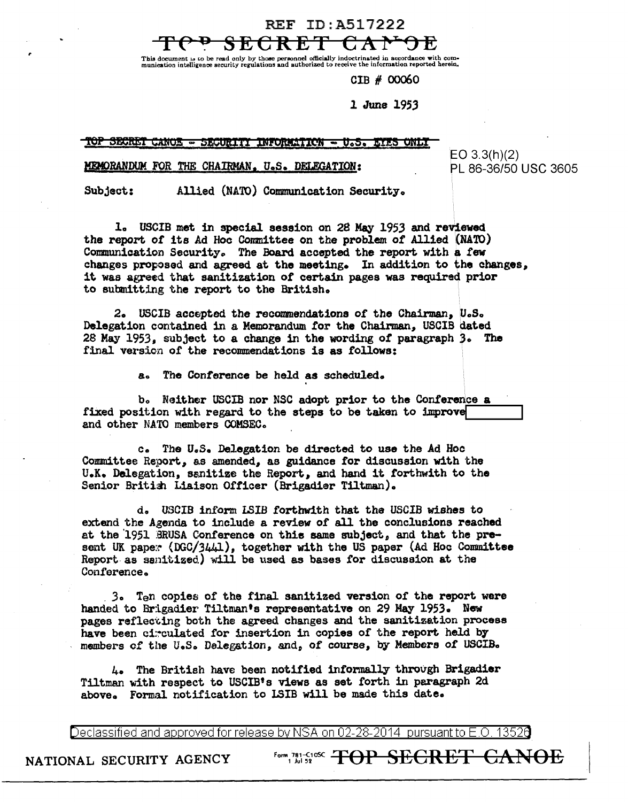REF ID:A517222



This document is to be read only by those personnel officially indoctrinated in accordance with com-<br>munication intelligence security regulations and authorized to receive the information reported herein.

CIB # 00060

## 1 June 1953

TOP SECRET CANOE - SECURITI INFORMATION EVES ONE.

## MEMORANDUM FOR THE CHAIRMAN, U.S. DELEGATION:

 $EO 3.3(h)(2)$ PL 86-36/50 USC 3605

Allied (NATO) Communication Security. Subject:

1. USCIB met in special session on 28 May 1953 and reviewed the report of its Ad Hoc Committee on the problem of Allied (NATO) Communication Security. The Board accepted the report with a few changes proposed and agreed at the meeting. In addition to the changes, it was agreed that sanitization of certain pages was required prior to submitting the report to the British.

2. USCIB accepted the recommendations of the Chairman, U.S. Delegation contained in a Memorandum for the Chairman, USCIB dated 28 May 1953, subject to a change in the wording of paragraph 3. The final version of the recommendations is as follows:

> $a<sub>o</sub>$ The Conference be held as scheduled.

b. Neither USCIB nor NSC adopt prior to the Conference a fixed position with regard to the steps to be taken to improve and other NATO members COMSEC.

c. The U.S. Delegation be directed to use the Ad Hoc Committee Report, as amended, as guidance for discussion with the U.K. Delegation, sanitize the Report, and hand it forthwith to the Senior British Liaison Officer (Brigadier Tiltman).

d. USCIB inform LSIB forthwith that the USCIB wishes to extend the Agenda to include a review of all the conclusions reached at the 1951 BRUSA Conference on this same subject, and that the present UK paper (DGC/3441), together with the US paper (Ad Hoc Committee Report as sanitized) will be used as bases for discussion at the Conference.

3. Ten copies of the final sanitized version of the report were handed to Brigadier Tiltman's representative on 29 May 1953. New pages reflecting both the agreed changes and the sanitization process have been circulated for insertion in copies of the report held by members of the U.S. Delegation, and, of course, by Members of USCIB.

4. The British have been notified informally through Brigadier Tiltman with respect to USCIB's views as set forth in paragraph 2d above. Formal notification to LSIB will be made this date.

Declassified and approved for release by NSA on 02-28-2014 pursuant to E.O. 13520

NATIONAL SECURITY AGENCY

Form 781-SI SECRET <del>CANOE</del>